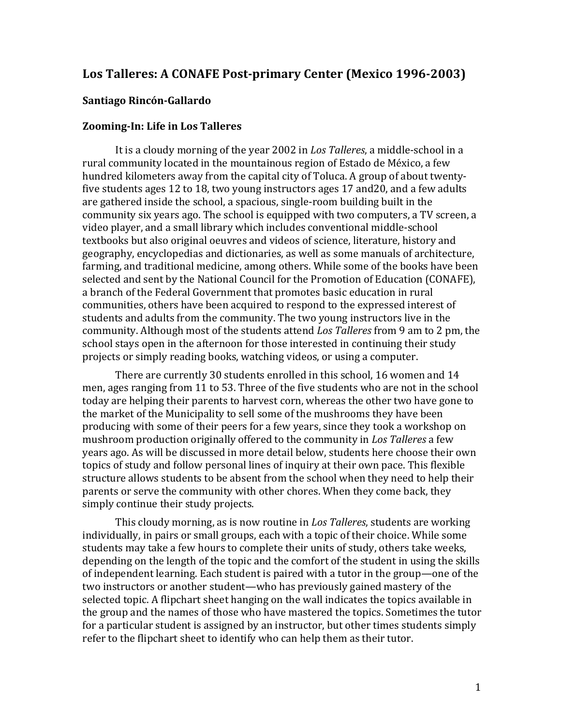# **Los Talleres: A CONAFE Post-primary Center (Mexico 1996-2003)**

### **Santiago Rincón-Gallardo**

#### **Zooming-In: Life in Los Talleres**

It is a cloudy morning of the year 2002 in *Los Talleres*, a middle-school in a rural community located in the mountainous region of Estado de México, a few hundred kilometers away from the capital city of Toluca. A group of about twentyfive students ages 12 to 18, two young instructors ages 17 and 20, and a few adults are gathered inside the school, a spacious, single-room building built in the community six years ago. The school is equipped with two computers, a TV screen, a video player, and a small library which includes conventional middle-school textbooks but also original oeuvres and videos of science, literature, history and geography, encyclopedias and dictionaries, as well as some manuals of architecture, farming, and traditional medicine, among others. While some of the books have been selected and sent by the National Council for the Promotion of Education (CONAFE). a branch of the Federal Government that promotes basic education in rural communities, others have been acquired to respond to the expressed interest of students and adults from the community. The two young instructors live in the community. Although most of the students attend *Los Talleres* from 9 am to 2 pm, the school stays open in the afternoon for those interested in continuing their study projects or simply reading books, watching videos, or using a computer.

There are currently 30 students enrolled in this school, 16 women and 14 men, ages ranging from 11 to 53. Three of the five students who are not in the school today are helping their parents to harvest corn, whereas the other two have gone to the market of the Municipality to sell some of the mushrooms they have been producing with some of their peers for a few years, since they took a workshop on mushroom production originally offered to the community in *Los Talleres* a few years ago. As will be discussed in more detail below, students here choose their own topics of study and follow personal lines of inquiry at their own pace. This flexible structure allows students to be absent from the school when they need to help their parents or serve the community with other chores. When they come back, they simply continue their study projects.

This cloudy morning, as is now routine in *Los Talleres*, students are working individually, in pairs or small groups, each with a topic of their choice. While some students may take a few hours to complete their units of study, others take weeks, depending on the length of the topic and the comfort of the student in using the skills of independent learning. Each student is paired with a tutor in the group—one of the two instructors or another student—who has previously gained mastery of the selected topic. A flipchart sheet hanging on the wall indicates the topics available in the group and the names of those who have mastered the topics. Sometimes the tutor for a particular student is assigned by an instructor, but other times students simply refer to the flipchart sheet to identify who can help them as their tutor.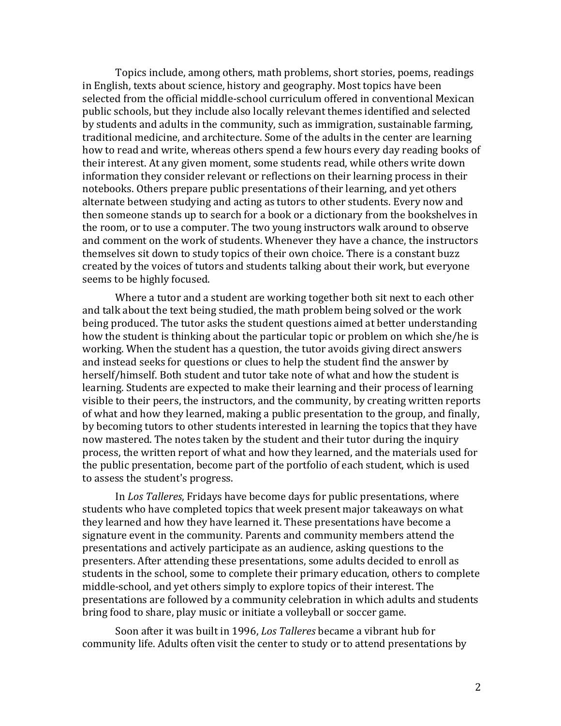Topics include, among others, math problems, short stories, poems, readings in English, texts about science, history and geography. Most topics have been selected from the official middle-school curriculum offered in conventional Mexican public schools, but they include also locally relevant themes identified and selected by students and adults in the community, such as immigration, sustainable farming, traditional medicine, and architecture. Some of the adults in the center are learning how to read and write, whereas others spend a few hours every day reading books of their interest. At any given moment, some students read, while others write down information they consider relevant or reflections on their learning process in their notebooks. Others prepare public presentations of their learning, and yet others alternate between studying and acting as tutors to other students. Every now and then someone stands up to search for a book or a dictionary from the bookshelves in the room, or to use a computer. The two young instructors walk around to observe and comment on the work of students. Whenever they have a chance, the instructors themselves sit down to study topics of their own choice. There is a constant buzz created by the voices of tutors and students talking about their work, but everyone seems to be highly focused.

Where a tutor and a student are working together both sit next to each other and talk about the text being studied, the math problem being solved or the work being produced. The tutor asks the student questions aimed at better understanding how the student is thinking about the particular topic or problem on which she/he is working. When the student has a question, the tutor avoids giving direct answers and instead seeks for questions or clues to help the student find the answer by herself/himself. Both student and tutor take note of what and how the student is learning. Students are expected to make their learning and their process of learning visible to their peers, the instructors, and the community, by creating written reports of what and how they learned, making a public presentation to the group, and finally, by becoming tutors to other students interested in learning the topics that they have now mastered. The notes taken by the student and their tutor during the inquiry process, the written report of what and how they learned, and the materials used for the public presentation, become part of the portfolio of each student, which is used to assess the student's progress.

In *Los Talleres*, Fridays have become days for public presentations, where students who have completed topics that week present major takeaways on what they learned and how they have learned it. These presentations have become a signature event in the community. Parents and community members attend the presentations and actively participate as an audience, asking questions to the presenters. After attending these presentations, some adults decided to enroll as students in the school, some to complete their primary education, others to complete middle-school, and yet others simply to explore topics of their interest. The presentations are followed by a community celebration in which adults and students bring food to share, play music or initiate a volleyball or soccer game.

Soon after it was built in 1996, *Los Talleres* became a vibrant hub for community life. Adults often visit the center to study or to attend presentations by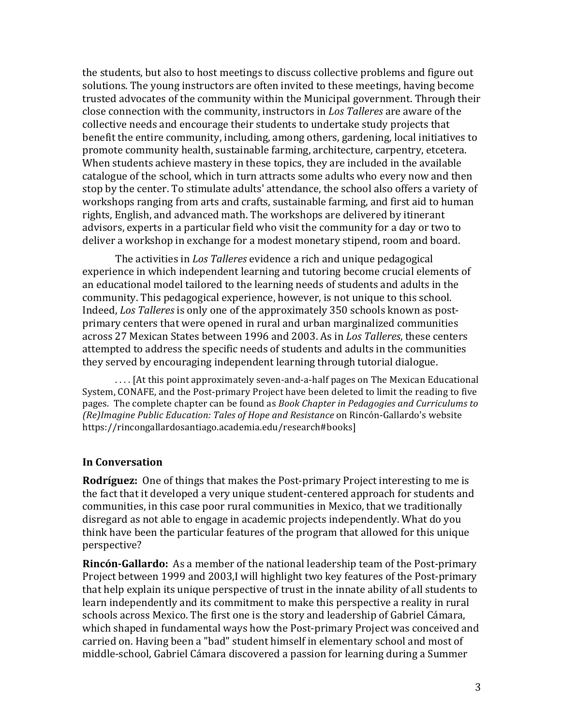the students, but also to host meetings to discuss collective problems and figure out solutions. The young instructors are often invited to these meetings, having become trusted advocates of the community within the Municipal government. Through their close connection with the community, instructors in *Los Talleres* are aware of the collective needs and encourage their students to undertake study projects that benefit the entire community, including, among others, gardening, local initiatives to promote community health, sustainable farming, architecture, carpentry, etcetera. When students achieve mastery in these topics, they are included in the available catalogue of the school, which in turn attracts some adults who every now and then stop by the center. To stimulate adults' attendance, the school also offers a variety of workshops ranging from arts and crafts, sustainable farming, and first aid to human rights, English, and advanced math. The workshops are delivered by itinerant advisors, experts in a particular field who visit the community for a day or two to deliver a workshop in exchange for a modest monetary stipend, room and board.

The activities in *Los Talleres* evidence a rich and unique pedagogical experience in which independent learning and tutoring become crucial elements of an educational model tailored to the learning needs of students and adults in the community. This pedagogical experience, however, is not unique to this school. Indeed, *Los Talleres* is only one of the approximately 350 schools known as postprimary centers that were opened in rural and urban marginalized communities across 27 Mexican States between 1996 and 2003. As in *Los Talleres*, these centers attempted to address the specific needs of students and adults in the communities they served by encouraging independent learning through tutorial dialogue.

.... [At this point approximately seven-and-a-half pages on The Mexican Educational System, CONAFE, and the Post-primary Project have been deleted to limit the reading to five pages. The complete chapter can be found as *Book Chapter in Pedagogies and Curriculums to (Re)Imagine Public Education: Tales of Hope and Resistance* on Rincón-Gallardo's website https://rincongallardosantiago.academia.edu/research#books]

## **In Conversation**

**Rodríguez:** One of things that makes the Post-primary Project interesting to me is the fact that it developed a very unique student-centered approach for students and communities, in this case poor rural communities in Mexico, that we traditionally disregard as not able to engage in academic projects independently. What do you think have been the particular features of the program that allowed for this unique perspective?

**Rincón-Gallardo:** As a member of the national leadership team of the Post-primary Project between 1999 and 2003,I will highlight two key features of the Post-primary that help explain its unique perspective of trust in the innate ability of all students to learn independently and its commitment to make this perspective a reality in rural schools across Mexico. The first one is the story and leadership of Gabriel Cámara, which shaped in fundamental ways how the Post-primary Project was conceived and carried on. Having been a "bad" student himself in elementary school and most of middle-school, Gabriel Cámara discovered a passion for learning during a Summer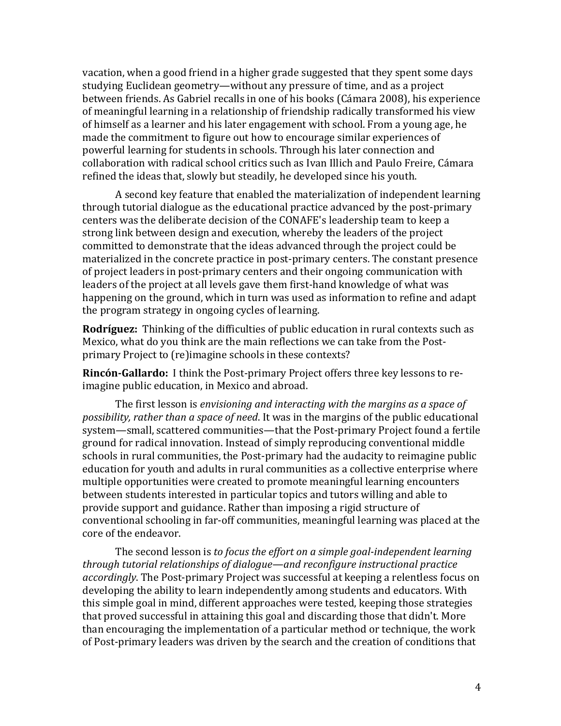vacation, when a good friend in a higher grade suggested that they spent some days studying Euclidean geometry—without any pressure of time, and as a project between friends. As Gabriel recalls in one of his books (Cámara 2008), his experience of meaningful learning in a relationship of friendship radically transformed his view of himself as a learner and his later engagement with school. From a young age, he made the commitment to figure out how to encourage similar experiences of powerful learning for students in schools. Through his later connection and collaboration with radical school critics such as Ivan Illich and Paulo Freire, Cámara refined the ideas that, slowly but steadily, he developed since his youth.

A second key feature that enabled the materialization of independent learning through tutorial dialogue as the educational practice advanced by the post-primary centers was the deliberate decision of the CONAFE's leadership team to keep a strong link between design and execution, whereby the leaders of the project committed to demonstrate that the ideas advanced through the project could be materialized in the concrete practice in post-primary centers. The constant presence of project leaders in post-primary centers and their ongoing communication with leaders of the project at all levels gave them first-hand knowledge of what was happening on the ground, which in turn was used as information to refine and adapt the program strategy in ongoing cycles of learning.

**Rodríguez:** Thinking of the difficulties of public education in rural contexts such as Mexico, what do you think are the main reflections we can take from the Postprimary Project to (re)imagine schools in these contexts?

**Rincón-Gallardo:** I think the Post-primary Project offers three key lessons to reimagine public education, in Mexico and abroad.

The first lesson is *envisioning and interacting with the margins as a space of possibility, rather than a space of need.* It was in the margins of the public educational system—small, scattered communities—that the Post-primary Project found a fertile ground for radical innovation. Instead of simply reproducing conventional middle schools in rural communities, the Post-primary had the audacity to reimagine public education for youth and adults in rural communities as a collective enterprise where multiple opportunities were created to promote meaningful learning encounters between students interested in particular topics and tutors willing and able to provide support and guidance. Rather than imposing a rigid structure of conventional schooling in far-off communities, meaningful learning was placed at the core of the endeavor.

The second lesson is *to focus the effort on a simple goal-independent learning* through tutorial relationships of dialogue—and reconfigure instructional practice *accordingly*. The Post-primary Project was successful at keeping a relentless focus on developing the ability to learn independently among students and educators. With this simple goal in mind, different approaches were tested, keeping those strategies that proved successful in attaining this goal and discarding those that didn't. More than encouraging the implementation of a particular method or technique, the work of Post-primary leaders was driven by the search and the creation of conditions that